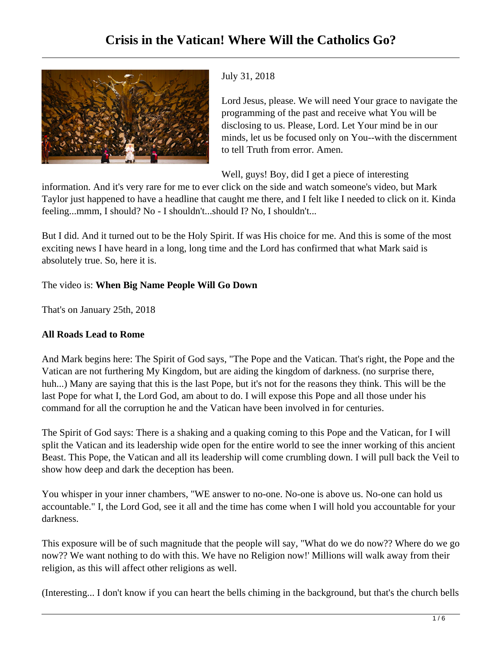

## July 31, 2018

Lord Jesus, please. We will need Your grace to navigate the programming of the past and receive what You will be disclosing to us. Please, Lord. Let Your mind be in our minds, let us be focused only on You--with the discernment to tell Truth from error. Amen.

Well, guys! Boy, did I get a piece of interesting

information. And it's very rare for me to ever click on the side and watch someone's video, but Mark Taylor just happened to have a headline that caught me there, and I felt like I needed to click on it. Kinda feeling...mmm, I should? No - I shouldn't...should I? No, I shouldn't...

But I did. And it turned out to be the Holy Spirit. If was His choice for me. And this is some of the most exciting news I have heard in a long, long time and the Lord has confirmed that what Mark said is absolutely true. So, here it is.

# The video is: **When Big Name People Will Go Down**

That's on January 25th, 2018

## **All Roads Lead to Rome**

And Mark begins here: The Spirit of God says, "The Pope and the Vatican. That's right, the Pope and the Vatican are not furthering My Kingdom, but are aiding the kingdom of darkness. (no surprise there, huh...) Many are saying that this is the last Pope, but it's not for the reasons they think. This will be the last Pope for what I, the Lord God, am about to do. I will expose this Pope and all those under his command for all the corruption he and the Vatican have been involved in for centuries.

The Spirit of God says: There is a shaking and a quaking coming to this Pope and the Vatican, for I will split the Vatican and its leadership wide open for the entire world to see the inner working of this ancient Beast. This Pope, the Vatican and all its leadership will come crumbling down. I will pull back the Veil to show how deep and dark the deception has been.

You whisper in your inner chambers, "WE answer to no-one. No-one is above us. No-one can hold us accountable." I, the Lord God, see it all and the time has come when I will hold you accountable for your darkness.

This exposure will be of such magnitude that the people will say, "What do we do now?? Where do we go now?? We want nothing to do with this. We have no Religion now!' Millions will walk away from their religion, as this will affect other religions as well.

(Interesting... I don't know if you can heart the bells chiming in the background, but that's the church bells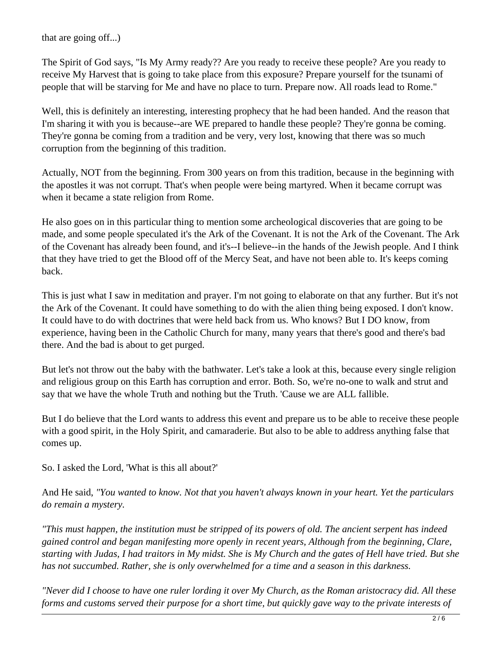that are going off...)

The Spirit of God says, "Is My Army ready?? Are you ready to receive these people? Are you ready to receive My Harvest that is going to take place from this exposure? Prepare yourself for the tsunami of people that will be starving for Me and have no place to turn. Prepare now. All roads lead to Rome."

Well, this is definitely an interesting, interesting prophecy that he had been handed. And the reason that I'm sharing it with you is because--are WE prepared to handle these people? They're gonna be coming. They're gonna be coming from a tradition and be very, very lost, knowing that there was so much corruption from the beginning of this tradition.

Actually, NOT from the beginning. From 300 years on from this tradition, because in the beginning with the apostles it was not corrupt. That's when people were being martyred. When it became corrupt was when it became a state religion from Rome.

He also goes on in this particular thing to mention some archeological discoveries that are going to be made, and some people speculated it's the Ark of the Covenant. It is not the Ark of the Covenant. The Ark of the Covenant has already been found, and it's--I believe--in the hands of the Jewish people. And I think that they have tried to get the Blood off of the Mercy Seat, and have not been able to. It's keeps coming back.

This is just what I saw in meditation and prayer. I'm not going to elaborate on that any further. But it's not the Ark of the Covenant. It could have something to do with the alien thing being exposed. I don't know. It could have to do with doctrines that were held back from us. Who knows? But I DO know, from experience, having been in the Catholic Church for many, many years that there's good and there's bad there. And the bad is about to get purged.

But let's not throw out the baby with the bathwater. Let's take a look at this, because every single religion and religious group on this Earth has corruption and error. Both. So, we're no-one to walk and strut and say that we have the whole Truth and nothing but the Truth. 'Cause we are ALL fallible.

But I do believe that the Lord wants to address this event and prepare us to be able to receive these people with a good spirit, in the Holy Spirit, and camaraderie. But also to be able to address anything false that comes up.

So. I asked the Lord, 'What is this all about?'

And He said, *"You wanted to know. Not that you haven't always known in your heart. Yet the particulars do remain a mystery.* 

*"This must happen, the institution must be stripped of its powers of old. The ancient serpent has indeed gained control and began manifesting more openly in recent years, Although from the beginning, Clare, starting with Judas, I had traitors in My midst. She is My Church and the gates of Hell have tried. But she has not succumbed. Rather, she is only overwhelmed for a time and a season in this darkness.* 

*"Never did I choose to have one ruler lording it over My Church, as the Roman aristocracy did. All these forms and customs served their purpose for a short time, but quickly gave way to the private interests of*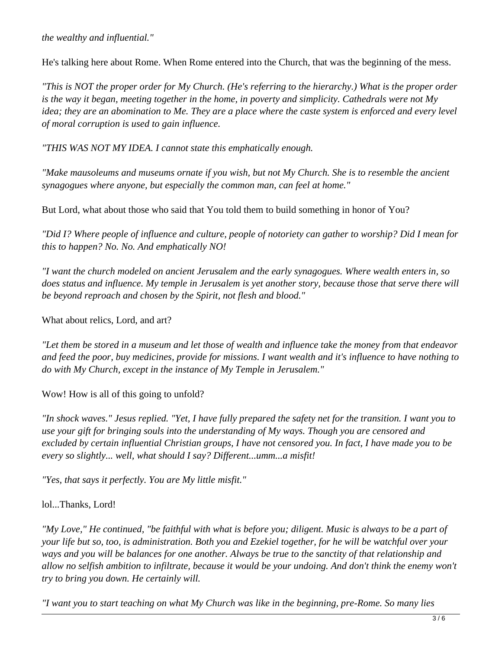#### *the wealthy and influential."*

He's talking here about Rome. When Rome entered into the Church, that was the beginning of the mess.

*"This is NOT the proper order for My Church. (He's referring to the hierarchy.) What is the proper order is the way it began, meeting together in the home, in poverty and simplicity. Cathedrals were not My idea; they are an abomination to Me. They are a place where the caste system is enforced and every level of moral corruption is used to gain influence.* 

*"THIS WAS NOT MY IDEA. I cannot state this emphatically enough.*

*"Make mausoleums and museums ornate if you wish, but not My Church. She is to resemble the ancient synagogues where anyone, but especially the common man, can feel at home."*

But Lord, what about those who said that You told them to build something in honor of You?

*"Did I? Where people of influence and culture, people of notoriety can gather to worship? Did I mean for this to happen? No. No. And emphatically NO!* 

*"I want the church modeled on ancient Jerusalem and the early synagogues. Where wealth enters in, so does status and influence. My temple in Jerusalem is yet another story, because those that serve there will be beyond reproach and chosen by the Spirit, not flesh and blood."*

What about relics, Lord, and art?

*"Let them be stored in a museum and let those of wealth and influence take the money from that endeavor and feed the poor, buy medicines, provide for missions. I want wealth and it's influence to have nothing to do with My Church, except in the instance of My Temple in Jerusalem."*

Wow! How is all of this going to unfold?

*"In shock waves." Jesus replied. "Yet, I have fully prepared the safety net for the transition. I want you to use your gift for bringing souls into the understanding of My ways. Though you are censored and excluded by certain influential Christian groups, I have not censored you. In fact, I have made you to be every so slightly... well, what should I say? Different...umm...a misfit!* 

*"Yes, that says it perfectly. You are My little misfit."*

#### lol...Thanks, Lord!

*"My Love," He continued, "be faithful with what is before you; diligent. Music is always to be a part of your life but so, too, is administration. Both you and Ezekiel together, for he will be watchful over your ways and you will be balances for one another. Always be true to the sanctity of that relationship and allow no selfish ambition to infiltrate, because it would be your undoing. And don't think the enemy won't try to bring you down. He certainly will.*

*"I want you to start teaching on what My Church was like in the beginning, pre-Rome. So many lies*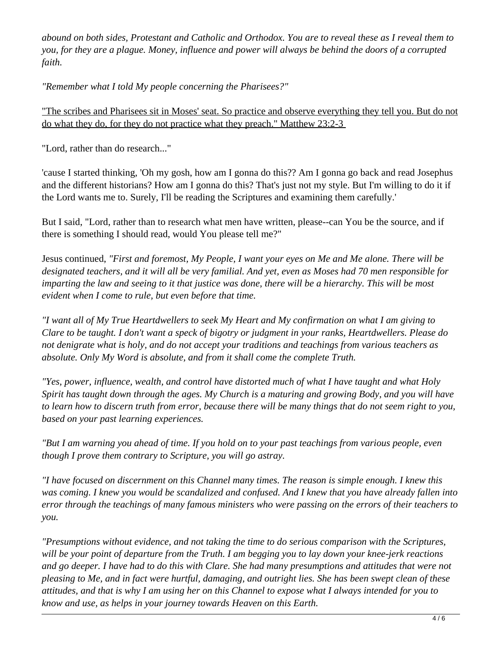*abound on both sides, Protestant and Catholic and Orthodox. You are to reveal these as I reveal them to you, for they are a plague. Money, influence and power will always be behind the doors of a corrupted faith.* 

*"Remember what I told My people concerning the Pharisees?"* 

"The scribes and Pharisees sit in Moses' seat. So practice and observe everything they tell you. But do not do what they do, for they do not practice what they preach." Matthew 23:2-3

"Lord, rather than do research..."

'cause I started thinking, 'Oh my gosh, how am I gonna do this?? Am I gonna go back and read Josephus and the different historians? How am I gonna do this? That's just not my style. But I'm willing to do it if the Lord wants me to. Surely, I'll be reading the Scriptures and examining them carefully.'

But I said, "Lord, rather than to research what men have written, please--can You be the source, and if there is something I should read, would You please tell me?"

Jesus continued, *"First and foremost, My People, I want your eyes on Me and Me alone. There will be designated teachers, and it will all be very familial. And yet, even as Moses had 70 men responsible for imparting the law and seeing to it that justice was done, there will be a hierarchy. This will be most evident when I come to rule, but even before that time.* 

*"I want all of My True Heartdwellers to seek My Heart and My confirmation on what I am giving to Clare to be taught. I don't want a speck of bigotry or judgment in your ranks, Heartdwellers. Please do not denigrate what is holy, and do not accept your traditions and teachings from various teachers as absolute. Only My Word is absolute, and from it shall come the complete Truth.*

*"Yes, power, influence, wealth, and control have distorted much of what I have taught and what Holy Spirit has taught down through the ages. My Church is a maturing and growing Body, and you will have to learn how to discern truth from error, because there will be many things that do not seem right to you, based on your past learning experiences.* 

*"But I am warning you ahead of time. If you hold on to your past teachings from various people, even though I prove them contrary to Scripture, you will go astray.*

*"I have focused on discernment on this Channel many times. The reason is simple enough. I knew this was coming. I knew you would be scandalized and confused. And I knew that you have already fallen into error through the teachings of many famous ministers who were passing on the errors of their teachers to you.* 

*"Presumptions without evidence, and not taking the time to do serious comparison with the Scriptures, will be your point of departure from the Truth. I am begging you to lay down your knee-jerk reactions and go deeper. I have had to do this with Clare. She had many presumptions and attitudes that were not pleasing to Me, and in fact were hurtful, damaging, and outright lies. She has been swept clean of these attitudes, and that is why I am using her on this Channel to expose what I always intended for you to know and use, as helps in your journey towards Heaven on this Earth.*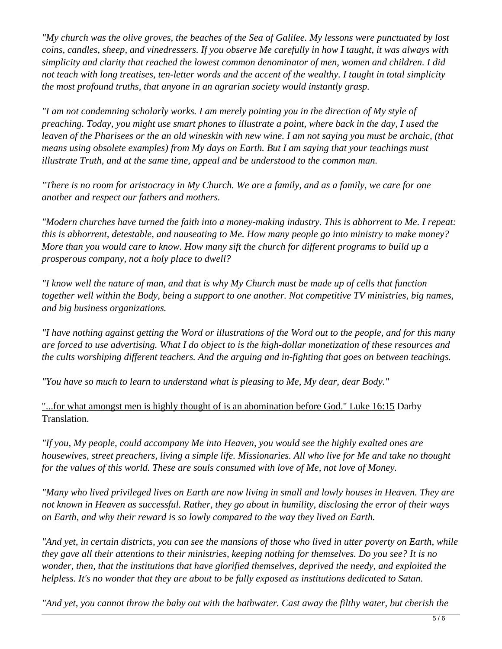*"My church was the olive groves, the beaches of the Sea of Galilee. My lessons were punctuated by lost coins, candles, sheep, and vinedressers. If you observe Me carefully in how I taught, it was always with simplicity and clarity that reached the lowest common denominator of men, women and children. I did not teach with long treatises, ten-letter words and the accent of the wealthy. I taught in total simplicity the most profound truths, that anyone in an agrarian society would instantly grasp.*

*"I am not condemning scholarly works. I am merely pointing you in the direction of My style of preaching. Today, you might use smart phones to illustrate a point, where back in the day, I used the leaven of the Pharisees or the an old wineskin with new wine. I am not saying you must be archaic, (that means using obsolete examples) from My days on Earth. But I am saying that your teachings must illustrate Truth, and at the same time, appeal and be understood to the common man.* 

*"There is no room for aristocracy in My Church. We are a family, and as a family, we care for one another and respect our fathers and mothers.* 

*"Modern churches have turned the faith into a money-making industry. This is abhorrent to Me. I repeat: this is abhorrent, detestable, and nauseating to Me. How many people go into ministry to make money? More than you would care to know. How many sift the church for different programs to build up a prosperous company, not a holy place to dwell?* 

*"I know well the nature of man, and that is why My Church must be made up of cells that function together well within the Body, being a support to one another. Not competitive TV ministries, big names, and big business organizations.* 

*"I have nothing against getting the Word or illustrations of the Word out to the people, and for this many are forced to use advertising. What I do object to is the high-dollar monetization of these resources and the cults worshiping different teachers. And the arguing and in-fighting that goes on between teachings.*

*"You have so much to learn to understand what is pleasing to Me, My dear, dear Body."* 

"...for what amongst men is highly thought of is an abomination before God." Luke 16:15 Darby Translation.

*"If you, My people, could accompany Me into Heaven, you would see the highly exalted ones are housewives, street preachers, living a simple life. Missionaries. All who live for Me and take no thought for the values of this world. These are souls consumed with love of Me, not love of Money.* 

*"Many who lived privileged lives on Earth are now living in small and lowly houses in Heaven. They are not known in Heaven as successful. Rather, they go about in humility, disclosing the error of their ways on Earth, and why their reward is so lowly compared to the way they lived on Earth.* 

*"And yet, in certain districts, you can see the mansions of those who lived in utter poverty on Earth, while they gave all their attentions to their ministries, keeping nothing for themselves. Do you see? It is no wonder, then, that the institutions that have glorified themselves, deprived the needy, and exploited the helpless. It's no wonder that they are about to be fully exposed as institutions dedicated to Satan.*

*"And yet, you cannot throw the baby out with the bathwater. Cast away the filthy water, but cherish the*